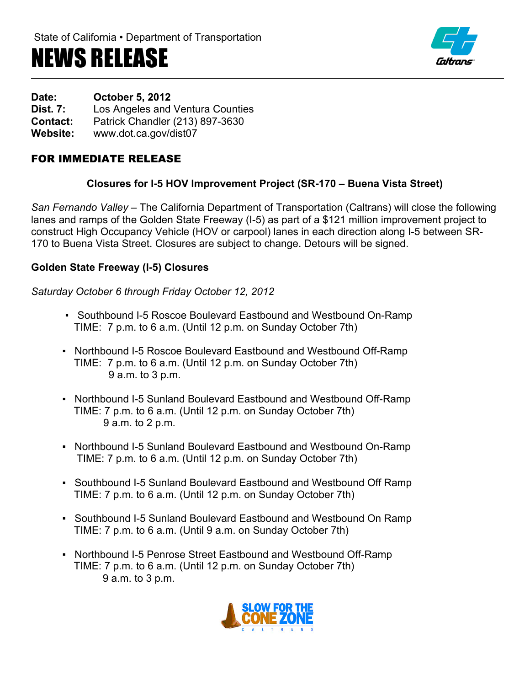# NEWS RELEASE



**Date: October 5, 2012**

**Dist. 7:** Los Angeles and Ventura Counties

**Contact:** Patrick Chandler (213) 897-3630

**Website:** www.dot.ca.gov/dist07

## FOR IMMEDIATE RELEASE

### **Closures for I-5 HOV Improvement Project (SR-170 – Buena Vista Street)**

*San Fernando Valley –* The California Department of Transportation (Caltrans) will close the following lanes and ramps of the Golden State Freeway (I-5) as part of a \$121 million improvement project to construct High Occupancy Vehicle (HOV or carpool) lanes in each direction along I-5 between SR-170 to Buena Vista Street. Closures are subject to change. Detours will be signed.

### **Golden State Freeway (I-5) Closures**

*Saturday October 6 through Friday October 12, 2012*

- Southbound I-5 Roscoe Boulevard Eastbound and Westbound On-Ramp TIME: 7 p.m. to 6 a.m. (Until 12 p.m. on Sunday October 7th)
- Northbound I-5 Roscoe Boulevard Eastbound and Westbound Off-Ramp TIME: 7 p.m. to 6 a.m. (Until 12 p.m. on Sunday October 7th) 9 a.m. to 3 p.m.
- Northbound I-5 Sunland Boulevard Eastbound and Westbound Off-Ramp TIME: 7 p.m. to 6 a.m. (Until 12 p.m. on Sunday October 7th) 9 a.m. to 2 p.m.
- Northbound I-5 Sunland Boulevard Eastbound and Westbound On-Ramp TIME: 7 p.m. to 6 a.m. (Until 12 p.m. on Sunday October 7th)
- Southbound I-5 Sunland Boulevard Eastbound and Westbound Off Ramp TIME: 7 p.m. to 6 a.m. (Until 12 p.m. on Sunday October 7th)
- Southbound I-5 Sunland Boulevard Eastbound and Westbound On Ramp TIME: 7 p.m. to 6 a.m. (Until 9 a.m. on Sunday October 7th)
- Northbound I-5 Penrose Street Eastbound and Westbound Off-Ramp TIME: 7 p.m. to 6 a.m. (Until 12 p.m. on Sunday October 7th) 9 a.m. to 3 p.m.

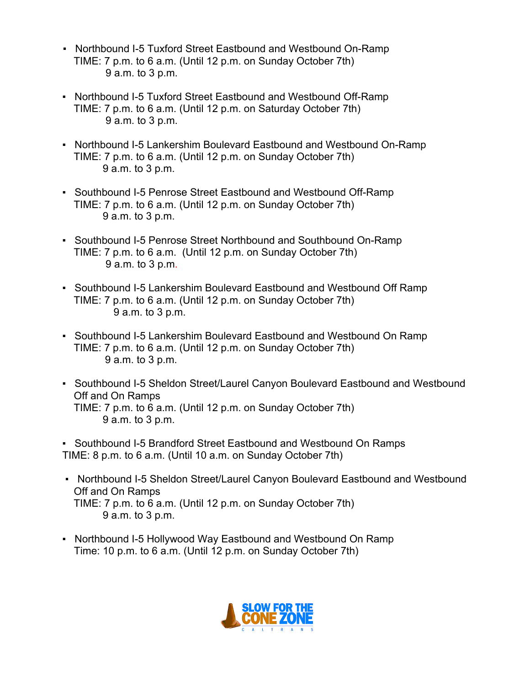- Northbound I-5 Tuxford Street Eastbound and Westbound On-Ramp TIME: 7 p.m. to 6 a.m. (Until 12 p.m. on Sunday October 7th) 9 a.m. to 3 p.m.
- Northbound I-5 Tuxford Street Eastbound and Westbound Off-Ramp TIME: 7 p.m. to 6 a.m. (Until 12 p.m. on Saturday October 7th) 9 a.m. to 3 p.m.
- Northbound I-5 Lankershim Boulevard Eastbound and Westbound On-Ramp TIME: 7 p.m. to 6 a.m. (Until 12 p.m. on Sunday October 7th) 9 a.m. to 3 p.m.
- Southbound I-5 Penrose Street Eastbound and Westbound Off-Ramp TIME: 7 p.m. to 6 a.m. (Until 12 p.m. on Sunday October 7th) 9 a.m. to 3 p.m.
- Southbound I-5 Penrose Street Northbound and Southbound On-Ramp TIME: 7 p.m. to 6 a.m. (Until 12 p.m. on Sunday October 7th) 9 a.m. to 3 p.m.
- Southbound I-5 Lankershim Boulevard Eastbound and Westbound Off Ramp TIME: 7 p.m. to 6 a.m. (Until 12 p.m. on Sunday October 7th) 9 a.m. to 3 p.m.
- Southbound I-5 Lankershim Boulevard Eastbound and Westbound On Ramp TIME: 7 p.m. to 6 a.m. (Until 12 p.m. on Sunday October 7th) 9 a.m. to 3 p.m.
- Southbound I-5 Sheldon Street/Laurel Canyon Boulevard Eastbound and Westbound Off and On Ramps TIME: 7 p.m. to 6 a.m. (Until 12 p.m. on Sunday October 7th) 9 a.m. to 3 p.m.

▪ Southbound I-5 Brandford Street Eastbound and Westbound On Ramps TIME: 8 p.m. to 6 a.m. (Until 10 a.m. on Sunday October 7th)

- Northbound I-5 Sheldon Street/Laurel Canyon Boulevard Eastbound and Westbound Off and On Ramps TIME: 7 p.m. to 6 a.m. (Until 12 p.m. on Sunday October 7th) 9 a.m. to 3 p.m.
- Northbound I-5 Hollywood Way Eastbound and Westbound On Ramp Time: 10 p.m. to 6 a.m. (Until 12 p.m. on Sunday October 7th)